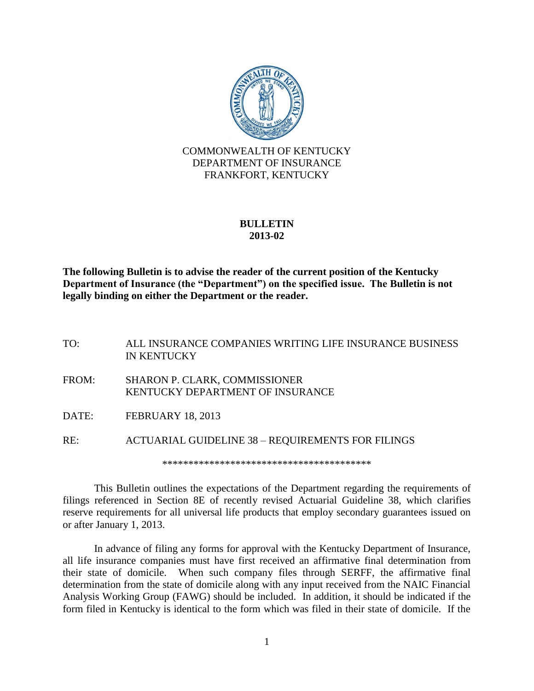

## **BULLETIN 2013-02**

**The following Bulletin is to advise the reader of the current position of the Kentucky Department of Insurance (the "Department") on the specified issue. The Bulletin is not legally binding on either the Department or the reader.**

TO: ALL INSURANCE COMPANIES WRITING LIFE INSURANCE BUSINESS IN KENTUCKY FROM: SHARON P. CLARK, COMMISSIONER KENTUCKY DEPARTMENT OF INSURANCE DATE: FEBRUARY 18, 2013 RE: ACTUARIAL GUIDELINE 38 – REQUIREMENTS FOR FILINGS \*\*\*\*\*\*\*\*\*\*\*\*\*\*\*\*\*\*\*\*\*\*\*\*\*\*\*\*\*\*\*\*\*\*\*\*\*\*\*\*

This Bulletin outlines the expectations of the Department regarding the requirements of filings referenced in Section 8E of recently revised Actuarial Guideline 38, which clarifies reserve requirements for all universal life products that employ secondary guarantees issued on or after January 1, 2013.

In advance of filing any forms for approval with the Kentucky Department of Insurance, all life insurance companies must have first received an affirmative final determination from their state of domicile. When such company files through SERFF, the affirmative final determination from the state of domicile along with any input received from the NAIC Financial Analysis Working Group (FAWG) should be included. In addition, it should be indicated if the form filed in Kentucky is identical to the form which was filed in their state of domicile. If the